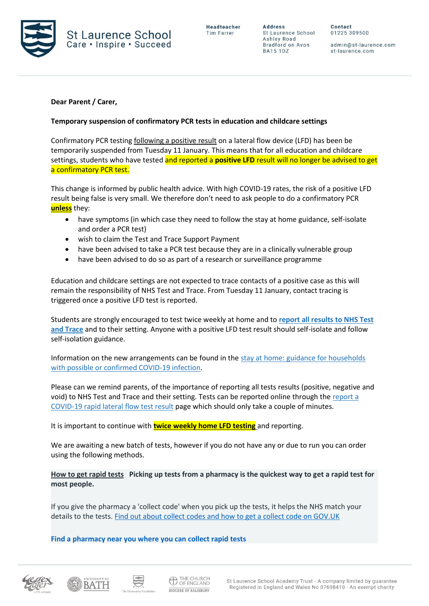

**Address** St Laurence School Ashley Road Bradford on Avon **BA15 1DZ** 

Contact 01225 309500

admin@st-laurence.com st-laurence.com

# **Dear Parent / Carer,**

## **Temporary suspension of confirmatory PCR tests in education and childcare settings**

Confirmatory PCR testing following a positive result on a lateral flow device (LFD) has been be temporarily suspended from Tuesday 11 January. This means that for all education and childcare settings, students who have tested and reported a **positive LFD** result will no longer be advised to get a confirmatory PCR test.

This change is informed by public health advice. With high COVID-19 rates, the risk of a positive LFD result being false is very small. We therefore don't need to ask people to do a confirmatory PCR **unless** they:

- have symptoms (in which case they need to follow the stay at home guidance, self-isolate and order a PCR test)
- wish to claim the Test and Trace Support Payment
- have been advised to take a PCR test because they are in a clinically vulnerable group
- have been advised to do so as part of a research or surveillance programme

Education and childcare settings are not expected to trace contacts of a positive case as this will remain the responsibility of NHS Test and Trace. From Tuesday 11 January, contact tracing is triggered once a positive LFD test is reported.

Students are strongly encouraged to test twice weekly at home and to **[report all results to NHS Test](https://www.gov.uk/report-covid19-result?utm_source=11%20January%202022%20C19&utm_medium=Daily%20Email%20C19&utm_campaign=DfE%20C19)  [and Trace](https://www.gov.uk/report-covid19-result?utm_source=11%20January%202022%20C19&utm_medium=Daily%20Email%20C19&utm_campaign=DfE%20C19)** and to their setting. Anyone with a positive LFD test result should self-isolate and follow self-isolation guidance.

Information on the new arrangements can be found in the stay at home: guidance for households [with possible or confirmed COVID-19 infection.](https://www.gov.uk/government/publications/covid-19-stay-at-home-guidance/stay-at-home-guidance-for-households-with-possible-coronavirus-covid-19-infection?utm_source=11%20January%202022%20C19&utm_medium=Daily%20Email%20C19&utm_campaign=DfE%20C19)

Please can we remind parents, of the importance of reporting all tests results (positive, negative and void) to NHS Test and Trace and their setting. Tests can be reported online through th[e report a](https://www.gov.uk/report-covid19-result?utm_source=11%20January%202022%20C19&utm_medium=Daily%20Email%20C19&utm_campaign=DfE%20C19)  [COVID-19 rapid lateral flow test result](https://www.gov.uk/report-covid19-result?utm_source=11%20January%202022%20C19&utm_medium=Daily%20Email%20C19&utm_campaign=DfE%20C19) page which should only take a couple of minutes.

It is important to continue with **twice weekly home LFD testing** and reporting.

We are awaiting a new batch of tests, however if you do not have any or due to run you can order using the following methods.

**How to get rapid tests Picking up tests from a pharmacy is the quickest way to get a rapid test for most people.**

If you give the pharmacy a 'collect code' when you pick up the tests, it helps the NHS match your details to the tests. [Find out about collect codes and how to get a collect code on GOV.UK](https://test-for-coronavirus.service.gov.uk/collect-lateral-flow-kits)

**[Find a pharmacy near you where you can collect rapid tests](https://maps.test-and-trace.nhs.uk/)**